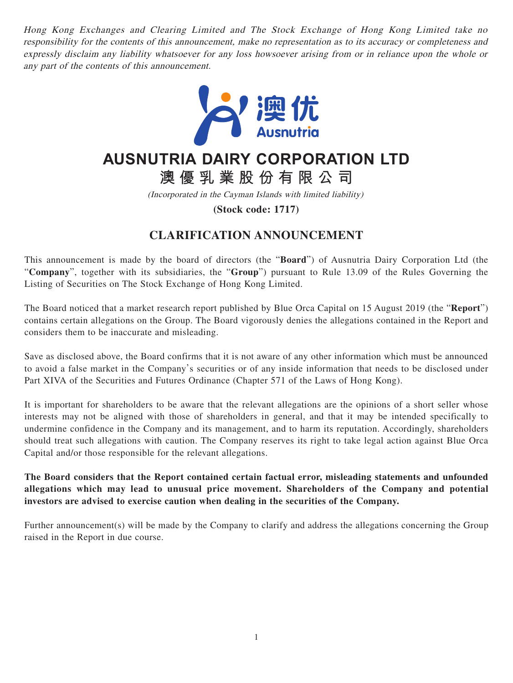Hong Kong Exchanges and Clearing Limited and The Stock Exchange of Hong Kong Limited take no responsibility for the contents of this announcement, make no representation as to its accuracy or completeness and expressly disclaim any liability whatsoever for any loss howsoever arising from or in reliance upon the whole or any part of the contents of this announcement.



## **AUSNUTRIA DAIRY CORPORATION LTD**

**澳優乳業股份有限公司**

(Incorporated in the Cayman Islands with limited liability)

**(Stock code: 1717)**

## **CLARIFICATION ANNOUNCEMENT**

This announcement is made by the board of directors (the "**Board**") of Ausnutria Dairy Corporation Ltd (the "**Company**", together with its subsidiaries, the "**Group**") pursuant to Rule 13.09 of the Rules Governing the Listing of Securities on The Stock Exchange of Hong Kong Limited.

The Board noticed that a market research report published by Blue Orca Capital on 15 August 2019 (the "**Report**") contains certain allegations on the Group. The Board vigorously denies the allegations contained in the Report and considers them to be inaccurate and misleading.

Save as disclosed above, the Board confirms that it is not aware of any other information which must be announced to avoid a false market in the Company's securities or of any inside information that needs to be disclosed under Part XIVA of the Securities and Futures Ordinance (Chapter 571 of the Laws of Hong Kong).

It is important for shareholders to be aware that the relevant allegations are the opinions of a short seller whose interests may not be aligned with those of shareholders in general, and that it may be intended specifically to undermine confidence in the Company and its management, and to harm its reputation. Accordingly, shareholders should treat such allegations with caution. The Company reserves its right to take legal action against Blue Orca Capital and/or those responsible for the relevant allegations.

**The Board considers that the Report contained certain factual error, misleading statements and unfounded allegations which may lead to unusual price movement. Shareholders of the Company and potential investors are advised to exercise caution when dealing in the securities of the Company.** 

Further announcement(s) will be made by the Company to clarify and address the allegations concerning the Group raised in the Report in due course.